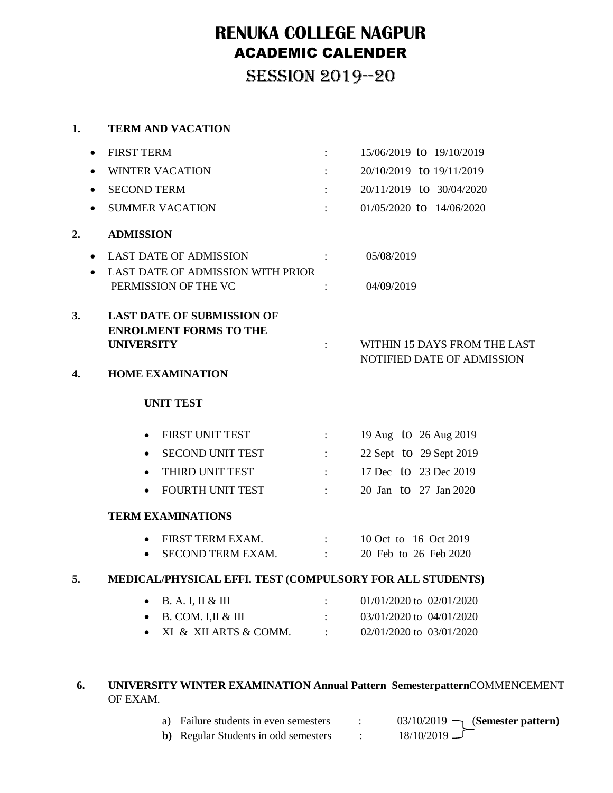# **RENUKA COLLEGE NAGPUR** ACADEMIC CALENDER

SESSION 2019--20

### **1. TERM AND VACATION**

|                          | <b>FIRST TERM</b><br>$\bullet$                                                                                              | $\mathbb{E}[\mathbb{E}[\mathbb{E}[\mathbb{E}[\mathbb{E}[\mathbb{E}[\mathbb{E}[\mathbb{E}[\mathbb{E}[\mathbb{E}[\mathbb{E}[\mathbb{E}[\mathbb{E}[\mathbb{E}[\mathbb{E}[\mathbb{E}[\mathbb{E}[\mathbb{E}[\mathbb{E}[\mathbb{E}[\mathbb{E}[\mathbb{E}[\mathbb{E}[\mathbb{E}[\mathbb{E}[\mathbb{E}[\mathbb{E}[\mathbb{E}[\mathbb{E}[\mathbb{E}[\mathbb{E}[\mathbb{E}[\mathbb{E}[\mathbb{E}[\mathbb{E}[\mathbb{E}[\mathbb{$ | 15/06/2019 to 19/10/2019                                   |
|--------------------------|-----------------------------------------------------------------------------------------------------------------------------|------------------------------------------------------------------------------------------------------------------------------------------------------------------------------------------------------------------------------------------------------------------------------------------------------------------------------------------------------------------------------------------------------------------------|------------------------------------------------------------|
|                          | <b>WINTER VACATION</b>                                                                                                      |                                                                                                                                                                                                                                                                                                                                                                                                                        | 20/10/2019 to 19/11/2019                                   |
|                          | <b>SECOND TERM</b><br>$\bullet$                                                                                             |                                                                                                                                                                                                                                                                                                                                                                                                                        | 20/11/2019 to 30/04/2020                                   |
|                          | <b>SUMMER VACATION</b><br>$\bullet$                                                                                         | $\Delta \sim 10^{-11}$                                                                                                                                                                                                                                                                                                                                                                                                 | 01/05/2020 to 14/06/2020                                   |
| 2.                       | <b>ADMISSION</b>                                                                                                            |                                                                                                                                                                                                                                                                                                                                                                                                                        |                                                            |
|                          | <b>LAST DATE OF ADMISSION</b><br><b>Contract Contract Contract</b><br>$\bullet$<br>LAST DATE OF ADMISSION WITH PRIOR        |                                                                                                                                                                                                                                                                                                                                                                                                                        | 05/08/2019                                                 |
| PERMISSION OF THE VC     |                                                                                                                             | $\ddot{\cdot}$                                                                                                                                                                                                                                                                                                                                                                                                         | 04/09/2019                                                 |
| 3.<br>4.                 | <b>LAST DATE OF SUBMISSION OF</b><br><b>ENROLMENT FORMS TO THE</b><br><b>UNIVERSITY</b><br><b>HOME EXAMINATION</b>          |                                                                                                                                                                                                                                                                                                                                                                                                                        | WITHIN 15 DAYS FROM THE LAST<br>NOTIFIED DATE OF ADMISSION |
|                          | <b>UNIT TEST</b>                                                                                                            |                                                                                                                                                                                                                                                                                                                                                                                                                        |                                                            |
|                          | FIRST UNIT TEST                                                                                                             | $\sim 10^{11}$ and $\sim 10^{11}$ and $\sim 10^{11}$                                                                                                                                                                                                                                                                                                                                                                   | 19 Aug to 26 Aug 2019                                      |
|                          | SECOND UNIT TEST :<br>$\bullet$                                                                                             |                                                                                                                                                                                                                                                                                                                                                                                                                        | 22 Sept to 29 Sept 2019                                    |
|                          | THIRD UNIT TEST<br>$\bullet$                                                                                                | $\mathcal{L}_{\text{max}}$ and $\mathcal{L}_{\text{max}}$ . The set of $\mathcal{L}_{\text{max}}$                                                                                                                                                                                                                                                                                                                      | 17 Dec to 23 Dec 2019                                      |
|                          | FOURTH UNIT TEST :<br>$\bullet$                                                                                             |                                                                                                                                                                                                                                                                                                                                                                                                                        | 20 Jan to 27 Jan 2020                                      |
| <b>TERM EXAMINATIONS</b> |                                                                                                                             |                                                                                                                                                                                                                                                                                                                                                                                                                        |                                                            |
|                          | FIRST TERM EXAM.<br>SECOND TERM EXAM. :                                                                                     | $\mathcal{X}^{\mathcal{A}}$ and $\mathcal{X}^{\mathcal{A}}$                                                                                                                                                                                                                                                                                                                                                            | 10 Oct to 16 Oct 2019<br>20 Feb to 26 Feb 2020             |
| 5.                       | MEDICAL/PHYSICAL EFFI. TEST (COMPULSORY FOR ALL STUDENTS)                                                                   |                                                                                                                                                                                                                                                                                                                                                                                                                        |                                                            |
|                          | $\bullet$ B. A. I, II & III<br>$\mathcal{L}^{\text{max}}(\mathcal{L}^{\text{max}})$ . The set of $\mathcal{L}^{\text{max}}$ |                                                                                                                                                                                                                                                                                                                                                                                                                        | 01/01/2020 to 02/01/2020                                   |
|                          | $B. COM. I, II & III$ :<br>$\bullet$                                                                                        |                                                                                                                                                                                                                                                                                                                                                                                                                        | 03/01/2020 to 04/01/2020                                   |
|                          | XI & XII ARTS & COMM. :<br>$\bullet$                                                                                        |                                                                                                                                                                                                                                                                                                                                                                                                                        | 02/01/2020 to 03/01/2020                                   |
|                          |                                                                                                                             |                                                                                                                                                                                                                                                                                                                                                                                                                        |                                                            |

## **6. UNIVERSITY WINTER EXAMINATION Annual Pattern Semesterpattern**COMMENCEMENT OF EXAM.

| a) Failure students in even semesters        | $03/10/2019$ (Semester pattern) |
|----------------------------------------------|---------------------------------|
| <b>b</b> ) Regular Students in odd semesters | $18/10/2019$ $\Box$             |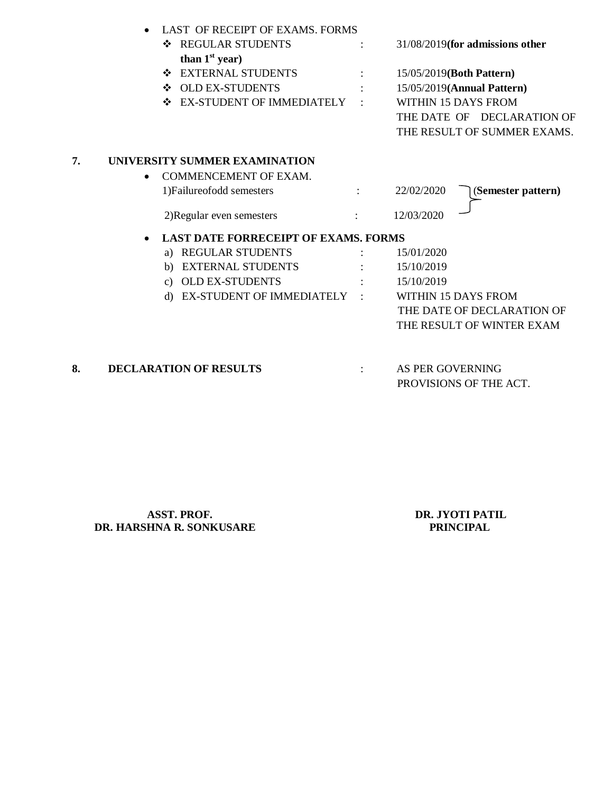| <b>REGULAR STUDENTS</b><br>❖              |                               | 31/08/2019(for admissions other                                            |
|-------------------------------------------|-------------------------------|----------------------------------------------------------------------------|
| than $1st$ year)                          |                               |                                                                            |
| <b>EXTERNAL STUDENTS</b><br>❖             |                               | 15/05/2019(Both Pattern)                                                   |
| <b>OLD EX-STUDENTS</b><br>❖               |                               | 15/05/2019(Annual Pattern)                                                 |
| <b>EX-STUDENT OF IMMEDIATELY</b><br>❖     |                               | <b>WITHIN 15 DAYS FROM</b>                                                 |
|                                           |                               | THE DATE OF DECLARATION OF                                                 |
|                                           |                               | THE RESULT OF SUMMER EXAMS.                                                |
| UNIVERSITY SUMMER EXAMINATION             |                               |                                                                            |
| <b>COMMENCEMENT OF EXAM.</b><br>$\bullet$ |                               |                                                                            |
| 1) Failure of odd semesters               |                               | 22/02/2020<br>(Semester pattern)                                           |
| 2) Regular even semesters                 |                               | 12/03/2020                                                                 |
|                                           |                               |                                                                            |
| a) REGULAR STUDENTS                       |                               | 15/01/2020                                                                 |
| <b>EXTERNAL STUDENTS</b><br>b)            |                               | 15/10/2019                                                                 |
| c) OLD EX-STUDENTS                        |                               | 15/10/2019                                                                 |
| d)                                        |                               | WITHIN 15 DAYS FROM                                                        |
|                                           |                               | THE DATE OF DECLARATION OF                                                 |
|                                           |                               | THE RESULT OF WINTER EXAM                                                  |
|                                           |                               | AS PER GOVERNING                                                           |
|                                           | <b>DECLARATION OF RESULTS</b> | <b>LAST DATE FORRECEIPT OF EXAMS. FORMS</b><br>EX-STUDENT OF IMMEDIATELY : |

PROVISIONS OF THE ACT.

**ASST. PROF.**<br> **DR. JYOTI PATIL**<br> **DR. JYOTI PATIL**<br> **DR. JYOTI PATIL DR. HARSHNA R. SONKUSARE**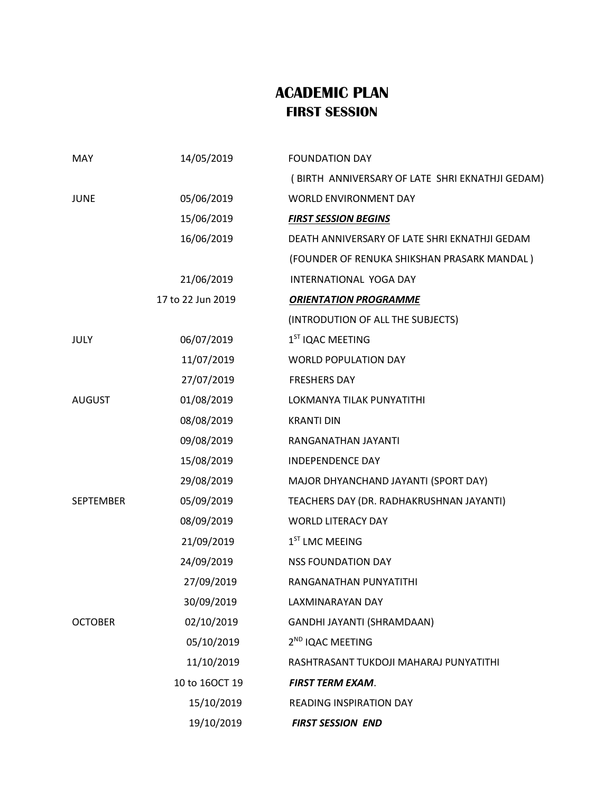## **ACADEMIC PLAN FIRST SESSION**

| MAY              | 14/05/2019        | <b>FOUNDATION DAY</b>                           |
|------------------|-------------------|-------------------------------------------------|
|                  |                   | (BIRTH ANNIVERSARY OF LATE SHRI EKNATHJI GEDAM) |
| <b>JUNE</b>      | 05/06/2019        | WORLD ENVIRONMENT DAY                           |
|                  | 15/06/2019        | <b>FIRST SESSION BEGINS</b>                     |
|                  | 16/06/2019        | DEATH ANNIVERSARY OF LATE SHRI EKNATHJI GEDAM   |
|                  |                   | (FOUNDER OF RENUKA SHIKSHAN PRASARK MANDAL)     |
|                  | 21/06/2019        | INTERNATIONAL YOGA DAY                          |
|                  | 17 to 22 Jun 2019 | <b>ORIENTATION PROGRAMME</b>                    |
|                  |                   | (INTRODUTION OF ALL THE SUBJECTS)               |
| JULY             | 06/07/2019        | 1 <sup>ST</sup> IQAC MEETING                    |
|                  | 11/07/2019        | <b>WORLD POPULATION DAY</b>                     |
|                  | 27/07/2019        | <b>FRESHERS DAY</b>                             |
| <b>AUGUST</b>    | 01/08/2019        | LOKMANYA TILAK PUNYATITHI                       |
|                  | 08/08/2019        | <b>KRANTI DIN</b>                               |
|                  | 09/08/2019        | RANGANATHAN JAYANTI                             |
|                  | 15/08/2019        | <b>INDEPENDENCE DAY</b>                         |
|                  | 29/08/2019        | MAJOR DHYANCHAND JAYANTI (SPORT DAY)            |
| <b>SEPTEMBER</b> | 05/09/2019        | TEACHERS DAY (DR. RADHAKRUSHNAN JAYANTI)        |
|                  | 08/09/2019        | <b>WORLD LITERACY DAY</b>                       |
|                  | 21/09/2019        | $1ST$ LMC MEEING                                |
|                  | 24/09/2019        | <b>NSS FOUNDATION DAY</b>                       |
|                  | 27/09/2019        | RANGANATHAN PUNYATITHI                          |
|                  | 30/09/2019        | LAXMINARAYAN DAY                                |
| <b>OCTOBER</b>   | 02/10/2019        | GANDHI JAYANTI (SHRAMDAAN)                      |
|                  | 05/10/2019        | 2 <sup>ND</sup> IQAC MEETING                    |
|                  | 11/10/2019        | RASHTRASANT TUKDOJI MAHARAJ PUNYATITHI          |
|                  | 10 to 16OCT 19    | <b>FIRST TERM EXAM.</b>                         |
|                  | 15/10/2019        | READING INSPIRATION DAY                         |
|                  | 19/10/2019        | <b>FIRST SESSION END</b>                        |
|                  |                   |                                                 |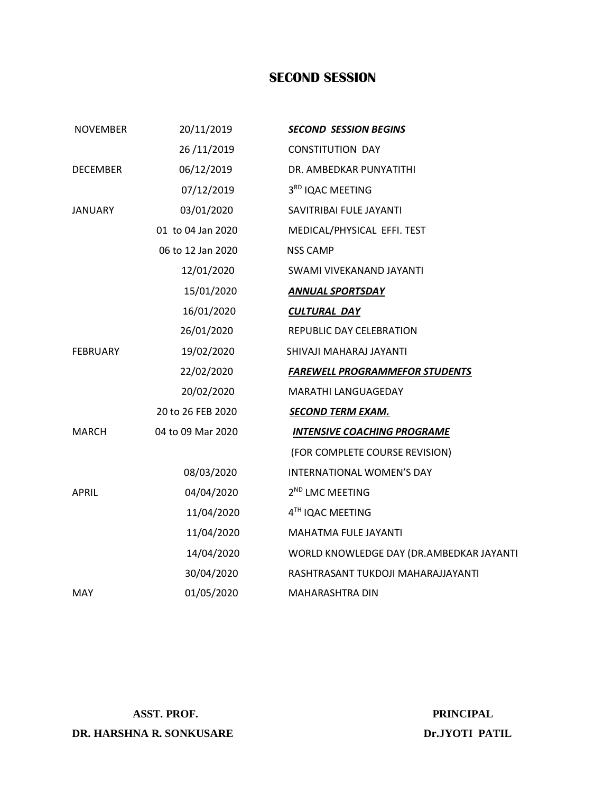## **SECOND SESSION**

| <b>NOVEMBER</b> | 20/11/2019        | <b>SECOND SESSION BEGINS</b>             |
|-----------------|-------------------|------------------------------------------|
|                 | 26/11/2019        | <b>CONSTITUTION DAY</b>                  |
| <b>DECEMBER</b> | 06/12/2019        | DR. AMBEDKAR PUNYATITHI                  |
|                 | 07/12/2019        | 3RD IQAC MEETING                         |
| <b>JANUARY</b>  | 03/01/2020        | SAVITRIBAI FULE JAYANTI                  |
|                 | 01 to 04 Jan 2020 | MEDICAL/PHYSICAL EFFI. TEST              |
|                 | 06 to 12 Jan 2020 | <b>NSS CAMP</b>                          |
|                 | 12/01/2020        | SWAMI VIVEKANAND JAYANTI                 |
|                 | 15/01/2020        | <b>ANNUAL SPORTSDAY</b>                  |
|                 | 16/01/2020        | <b>CULTURAL DAY</b>                      |
|                 | 26/01/2020        | REPUBLIC DAY CELEBRATION                 |
| <b>FEBRUARY</b> | 19/02/2020        | SHIVAJI MAHARAJ JAYANTI                  |
|                 | 22/02/2020        | <b>FAREWELL PROGRAMMEFOR STUDENTS</b>    |
|                 | 20/02/2020        | MARATHI LANGUAGEDAY                      |
|                 | 20 to 26 FEB 2020 | <b>SECOND TERM EXAM.</b>                 |
| <b>MARCH</b>    | 04 to 09 Mar 2020 | <b>INTENSIVE COACHING PROGRAME</b>       |
|                 |                   | (FOR COMPLETE COURSE REVISION)           |
|                 | 08/03/2020        | INTERNATIONAL WOMEN'S DAY                |
| <b>APRIL</b>    | 04/04/2020        | 2 <sup>ND</sup> LMC MEETING              |
|                 | 11/04/2020        | 4TH IQAC MEETING                         |
|                 | 11/04/2020        | MAHATMA FULE JAYANTI                     |
|                 | 14/04/2020        | WORLD KNOWLEDGE DAY (DR.AMBEDKAR JAYANTI |
|                 | 30/04/2020        | RASHTRASANT TUKDOJI MAHARAJJAYANTI       |
| MAY             | 01/05/2020        | <b>MAHARASHTRA DIN</b>                   |